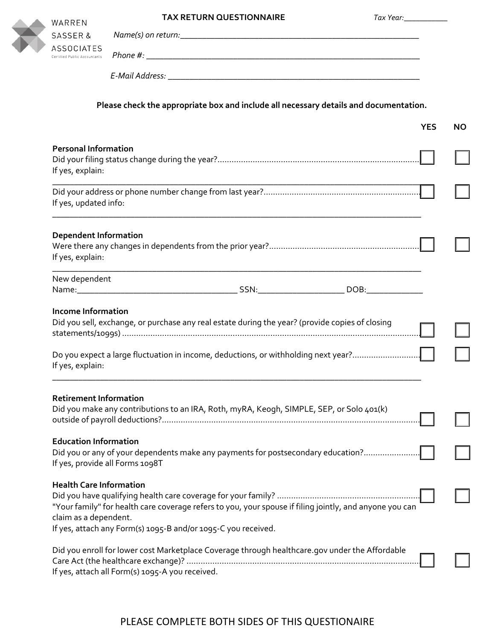| WARREI              |
|---------------------|
| SASSER              |
| <b>ASSOCI</b>       |
| Certified Public Ad |

|   | WARREN                                            | <b>TAX RETURN QUESTIONNAIRE</b>                                                       | Tax Year: |
|---|---------------------------------------------------|---------------------------------------------------------------------------------------|-----------|
| F | SASSER&                                           |                                                                                       |           |
|   | <b>ASSOCIATES</b><br>Certified Public Accountants |                                                                                       |           |
|   |                                                   |                                                                                       |           |
|   |                                                   | Please check the appropriate box and include all necessary details and documentation. |           |

|                                                                                                                                                                                                                                        | <b>YES</b> | <b>NO</b> |
|----------------------------------------------------------------------------------------------------------------------------------------------------------------------------------------------------------------------------------------|------------|-----------|
| <b>Personal Information</b><br>If yes, explain:                                                                                                                                                                                        |            |           |
| If yes, updated info:                                                                                                                                                                                                                  |            |           |
| <b>Dependent Information</b><br>If yes, explain:                                                                                                                                                                                       |            |           |
| New dependent                                                                                                                                                                                                                          |            |           |
| <b>Income Information</b><br>Did you sell, exchange, or purchase any real estate during the year? (provide copies of closing<br>Do you expect a large fluctuation in income, deductions, or withholding next year?<br>If yes, explain: |            |           |
| <b>Retirement Information</b><br>Did you make any contributions to an IRA, Roth, myRA, Keogh, SIMPLE, SEP, or Solo 401(k)                                                                                                              |            |           |
| <b>Education Information</b><br>Did you or any of your dependents make any payments for postsecondary education?<br>If yes, provide all Forms 1098T                                                                                    |            |           |
| Health Care Information<br>"Your family" for health care coverage refers to you, your spouse if filing jointly, and anyone you can<br>claim as a dependent.<br>If yes, attach any Form(s) 1095-B and/or 1095-C you received.           |            |           |
| Did you enroll for lower cost Marketplace Coverage through healthcare.gov under the Affordable<br>If yes, attach all Form(s) 1095-A you received.                                                                                      |            |           |

## PLEASE COMPLETE BOTH SIDES OF THIS QUESTIONAIRE